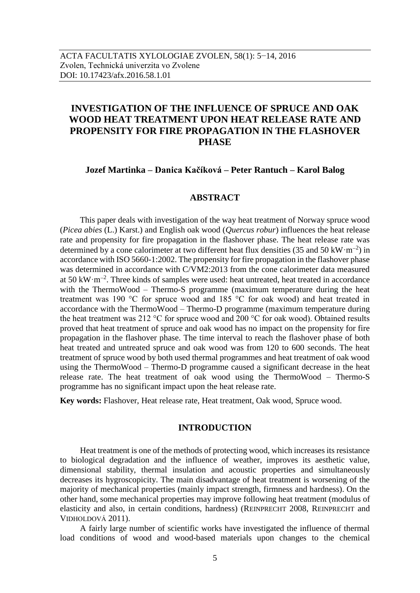# **INVESTIGATION OF THE INFLUENCE OF SPRUCE AND OAK WOOD HEAT TREATMENT UPON HEAT RELEASE RATE AND PROPENSITY FOR FIRE PROPAGATION IN THE FLASHOVER PHASE**

### **Jozef Martinka – Danica Kačíková – Peter Rantuch – Karol Balog**

## **ABSTRACT**

This paper deals with investigation of the way heat treatment of Norway spruce wood (*Picea abies* (L.) Karst.) and English oak wood (*Quercus robur*) influences the heat release rate and propensity for fire propagation in the flashover phase. The heat release rate was determined by a cone calorimeter at two different heat flux densities (35 and 50 kW·m<sup>-2</sup>) in accordance with ISO 5660-1:2002. The propensity for fire propagation in the flashover phase was determined in accordance with C/VM2:2013 from the cone calorimeter data measured at  $50 \text{ kW} \cdot \text{m}^{-2}$ . Three kinds of samples were used: heat untreated, heat treated in accordance with the ThermoWood – Thermo-S programme (maximum temperature during the heat treatment was 190 °C for spruce wood and 185 °C for oak wood) and heat treated in accordance with the ThermoWood – Thermo-D programme (maximum temperature during the heat treatment was 212 °C for spruce wood and 200 °C for oak wood). Obtained results proved that heat treatment of spruce and oak wood has no impact on the propensity for fire propagation in the flashover phase. The time interval to reach the flashover phase of both heat treated and untreated spruce and oak wood was from 120 to 600 seconds. The heat treatment of spruce wood by both used thermal programmes and heat treatment of oak wood using the ThermoWood – Thermo-D programme caused a significant decrease in the heat release rate. The heat treatment of oak wood using the ThermoWood – Thermo-S programme has no significant impact upon the heat release rate.

**Key words:** Flashover, Heat release rate, Heat treatment, Oak wood, Spruce wood.

# **INTRODUCTION**

Heat treatment is one of the methods of protecting wood, which increases its resistance to biological degradation and the influence of weather, improves its aesthetic value, dimensional stability, thermal insulation and acoustic properties and simultaneously decreases its hygroscopicity. The main disadvantage of heat treatment is worsening of the majority of mechanical properties (mainly impact strength, firmness and hardness). On the other hand, some mechanical properties may improve following heat treatment (modulus of elasticity and also, in certain conditions, hardness) (REINPRECHT 2008, REINPRECHT and VIDHOLDOVÁ 2011).

A fairly large number of scientific works have investigated the influence of thermal load conditions of wood and wood-based materials upon changes to the chemical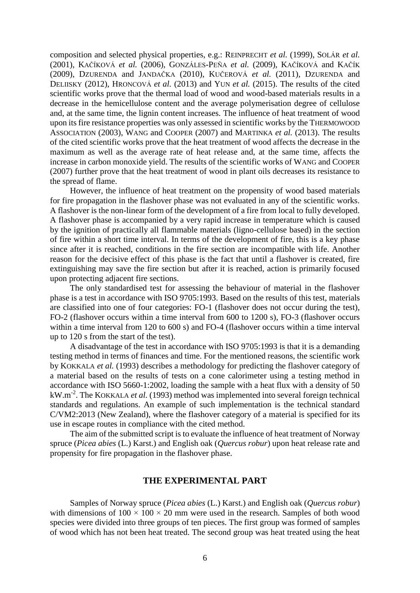composition and selected physical properties, e.g.: REINPRECHT *et al.* (1999), SOLÁR *et al.* (2001), KAČÍKOVÁ *et al.* (2006), GONZÁLES-PEÑA *et al.* (2009), KAČÍKOVÁ and KAČÍK (2009), DZURENDA and JANDAČKA (2010), KUČEROVÁ *et al.* (2011), DZURENDA and DELIISKY (2012), HRONCOVÁ *et al.* (2013) and YUN *et al.* (2015). The results of the cited scientific works prove that the thermal load of wood and wood-based materials results in a decrease in the hemicellulose content and the average polymerisation degree of cellulose and, at the same time, the lignin content increases. The influence of heat treatment of wood upon its fire resistance properties was only assessed in scientific works by the THERMOWOOD ASSOCIATION (2003), WANG and COOPER (2007) and MARTINKA *et al.* (2013). The results of the cited scientific works prove that the heat treatment of wood affects the decrease in the maximum as well as the average rate of heat release and, at the same time, affects the increase in carbon monoxide yield. The results of the scientific works of WANG and COOPER (2007) further prove that the heat treatment of wood in plant oils decreases its resistance to the spread of flame.

However, the influence of heat treatment on the propensity of wood based materials for fire propagation in the flashover phase was not evaluated in any of the scientific works. A flashover is the non-linear form of the development of a fire from local to fully developed. A flashover phase is accompanied by a very rapid increase in temperature which is caused by the ignition of practically all flammable materials (ligno-cellulose based) in the section of fire within a short time interval. In terms of the development of fire, this is a key phase since after it is reached, conditions in the fire section are incompatible with life. Another reason for the decisive effect of this phase is the fact that until a flashover is created, fire extinguishing may save the fire section but after it is reached, action is primarily focused upon protecting adjacent fire sections.

The only standardised test for assessing the behaviour of material in the flashover phase is a test in accordance with ISO 9705:1993. Based on the results of this test, materials are classified into one of four categories: FO-1 (flashover does not occur during the test), FO-2 (flashover occurs within a time interval from 600 to 1200 s), FO-3 (flashover occurs within a time interval from 120 to 600 s) and FO-4 (flashover occurs within a time interval up to 120 s from the start of the test).

A disadvantage of the test in accordance with ISO 9705:1993 is that it is a demanding testing method in terms of finances and time. For the mentioned reasons, the scientific work by KOKKALA *et al.* (1993) describes a methodology for predicting the flashover category of a material based on the results of tests on a cone calorimeter using a testing method in accordance with ISO 5660-1:2002, loading the sample with a heat flux with a density of 50 kW.m-2 . The KOKKALA *et al.* (1993) method was implemented into several foreign technical standards and regulations. An example of such implementation is the technical standard C/VM2:2013 (New Zealand), where the flashover category of a material is specified for its use in escape routes in compliance with the cited method.

The aim of the submitted script is to evaluate the influence of heat treatment of Norway spruce (*Picea abies* (L.) Karst.) and English oak (*Quercus robur*) upon heat release rate and propensity for fire propagation in the flashover phase.

#### **THE EXPERIMENTAL PART**

Samples of Norway spruce (*Picea abies* (L.) Karst.) and English oak (*Quercus robur*) with dimensions of  $100 \times 100 \times 20$  mm were used in the research. Samples of both wood species were divided into three groups of ten pieces. The first group was formed of samples of wood which has not been heat treated. The second group was heat treated using the heat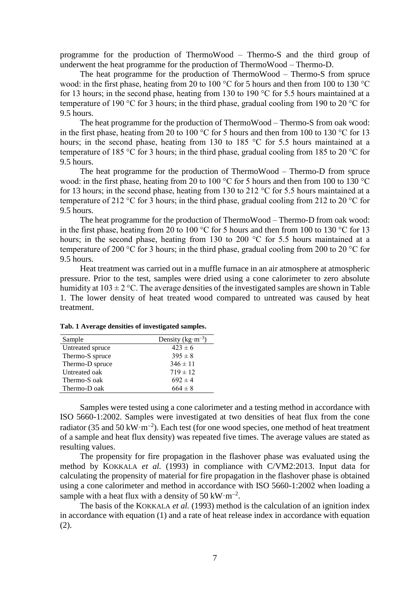programme for the production of ThermoWood – Thermo-S and the third group of underwent the heat programme for the production of ThermoWood – Thermo-D.

The heat programme for the production of ThermoWood – Thermo-S from spruce wood: in the first phase, heating from 20 to 100 °C for 5 hours and then from 100 to 130 °C for 13 hours; in the second phase, heating from 130 to 190 °C for 5.5 hours maintained at a temperature of 190 °C for 3 hours; in the third phase, gradual cooling from 190 to 20 °C for 9.5 hours.

The heat programme for the production of ThermoWood – Thermo-S from oak wood: in the first phase, heating from 20 to 100 °C for 5 hours and then from 100 to 130 °C for 13 hours; in the second phase, heating from 130 to 185 °C for 5.5 hours maintained at a temperature of 185 °C for 3 hours; in the third phase, gradual cooling from 185 to 20 °C for 9.5 hours.

The heat programme for the production of ThermoWood – Thermo-D from spruce wood: in the first phase, heating from 20 to 100 °C for 5 hours and then from 100 to 130 °C for 13 hours; in the second phase, heating from 130 to 212 °C for 5.5 hours maintained at a temperature of 212 °C for 3 hours; in the third phase, gradual cooling from 212 to 20 °C for 9.5 hours.

The heat programme for the production of ThermoWood – Thermo-D from oak wood: in the first phase, heating from 20 to 100 °C for 5 hours and then from 100 to 130 °C for 13 hours; in the second phase, heating from 130 to 200 °C for 5.5 hours maintained at a temperature of 200 °C for 3 hours; in the third phase, gradual cooling from 200 to 20 °C for 9.5 hours.

Heat treatment was carried out in a muffle furnace in an air atmosphere at atmospheric pressure. Prior to the test, samples were dried using a cone calorimeter to zero absolute humidity at  $103 \pm 2$  °C. The average densities of the investigated samples are shown in Table 1. The lower density of heat treated wood compared to untreated was caused by heat treatment.

| Sample           | Density $(kg \cdot m^{-3})$ |
|------------------|-----------------------------|
| Untreated spruce | $423 \pm 6$                 |
| Thermo-S spruce  | $395 \pm 8$                 |
| Thermo-D spruce  | $346 \pm 11$                |
| Untreated oak    | $719 \pm 12$                |
| Thermo-S oak     | $692 \pm 4$                 |
| Thermo-D oak     | $664 \pm 8$                 |

**Tab. 1 Average densities of investigated samples.**

Samples were tested using a cone calorimeter and a testing method in accordance with ISO 5660-1:2002. Samples were investigated at two densities of heat flux from the cone radiator (35 and 50 kW·m<sup>-2</sup>). Each test (for one wood species, one method of heat treatment of a sample and heat flux density) was repeated five times. The average values are stated as resulting values.

The propensity for fire propagation in the flashover phase was evaluated using the method by KOKKALA *et al.* (1993) in compliance with C/VM2:2013. Input data for calculating the propensity of material for fire propagation in the flashover phase is obtained using a cone calorimeter and method in accordance with ISO 5660-1:2002 when loading a sample with a heat flux with a density of 50 kW $\cdot$ m<sup>-2</sup>.

The basis of the KOKKALA *et al.* (1993) method is the calculation of an ignition index in accordance with equation (1) and a rate of heat release index in accordance with equation (2).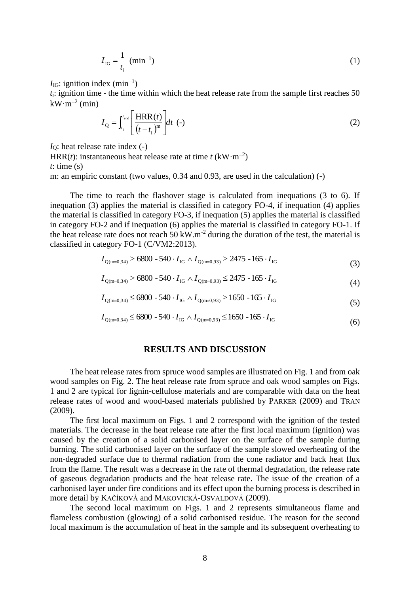$$
I_{IG} = \frac{1}{t_i} \text{ (min}^{-1})
$$
 (1)

 $I_{IG}$ : ignition index (min<sup>-1</sup>)

*t*i: ignition time - the time within which the heat release rate from the sample first reaches 50  $kW \cdot m^{-2}$  (min)

$$
I_{Q} = \int_{t_i}^{t_{\text{end}}} \left[ \frac{\text{HRR}(t)}{\left(t - t_i\right)^m} \right] dt \quad (-)
$$
 (2)

*I*<sub>Q</sub>: heat release rate index (-)

HRR(*t*): instantaneous heat release rate at time  $t$  (kW·m<sup>-2</sup>) *t*: time (s)

m: an empiric constant (two values, 0.34 and 0.93, are used in the calculation) (-)

The time to reach the flashover stage is calculated from inequations (3 to 6). If inequation (3) applies the material is classified in category FO-4, if inequation (4) applies the material is classified in category FO-3, if inequation (5) applies the material is classified in category FO-2 and if inequation (6) applies the material is classified in category FO-1. If the heat release rate does not reach 50 kW.m<sup>-2</sup> during the duration of the test, the material is classified in category FO-1 (C/VM2:2013).

$$
I_{Q(m=0,34)} > 6800 - 540 \cdot I_{IG} \wedge I_{Q(m=0,93)} > 2475 - 165 \cdot I_{IG}
$$
\n(3)

$$
I_{Q(m=0,34)} > 6800 - 540 \cdot I_{IG} \wedge I_{Q(m=0,93)} \le 2475 - 165 \cdot I_{IG}
$$
\n
$$
\tag{4}
$$

$$
I_{Q(m=0,34)} \le 6800 - 540 \cdot I_{IG} \wedge I_{Q(m=0,93)} > 1650 - 165 \cdot I_{IG}
$$
\n
$$
(5)
$$

$$
I_{Q(m=0,34)} \le 6800 - 540 \cdot I_{IG} \wedge I_{Q(m=0,93)} \le 1650 - 165 \cdot I_{IG}
$$
\n
$$
(6)
$$

# **RESULTS AND DISCUSSION**

The heat release rates from spruce wood samples are illustrated on Fig. 1 and from oak wood samples on Fig. 2. The heat release rate from spruce and oak wood samples on Figs. 1 and 2 are typical for lignin-cellulose materials and are comparable with data on the heat release rates of wood and wood-based materials published by PARKER (2009) and TRAN (2009).

The first local maximum on Figs. 1 and 2 correspond with the ignition of the tested materials. The decrease in the heat release rate after the first local maximum (ignition) was caused by the creation of a solid carbonised layer on the surface of the sample during burning. The solid carbonised layer on the surface of the sample slowed overheating of the non-degraded surface due to thermal radiation from the cone radiator and back heat flux from the flame. The result was a decrease in the rate of thermal degradation, the release rate of gaseous degradation products and the heat release rate. The issue of the creation of a carbonised layer under fire conditions and its effect upon the burning process is described in more detail by KAČÍKOVÁ and MAKOVICKÁ-OSVALDOVÁ (2009).

The second local maximum on Figs. 1 and 2 represents simultaneous flame and flameless combustion (glowing) of a solid carbonised residue. The reason for the second local maximum is the accumulation of heat in the sample and its subsequent overheating to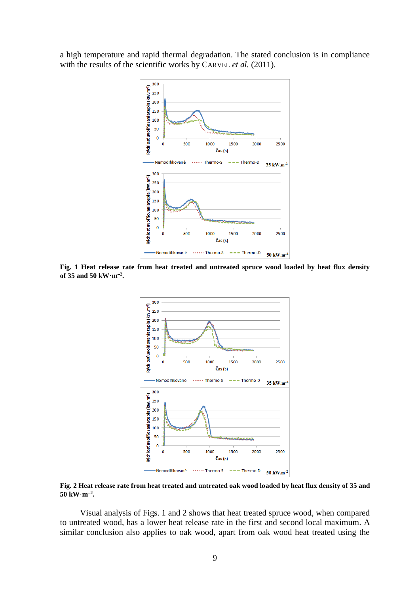a high temperature and rapid thermal degradation. The stated conclusion is in compliance with the results of the scientific works by CARVEL *et al.* (2011).



**Fig. 1 Heat release rate from heat treated and untreated spruce wood loaded by heat flux density of 35 and 50 kW·m<sup>2</sup> .**



**Fig. 2 Heat release rate from heat treated and untreated oak wood loaded by heat flux density of 35 and**   $50 \text{ kW} \cdot \text{m}^{-2}$ .

Visual analysis of Figs. 1 and 2 shows that heat treated spruce wood, when compared to untreated wood, has a lower heat release rate in the first and second local maximum. A similar conclusion also applies to oak wood, apart from oak wood heat treated using the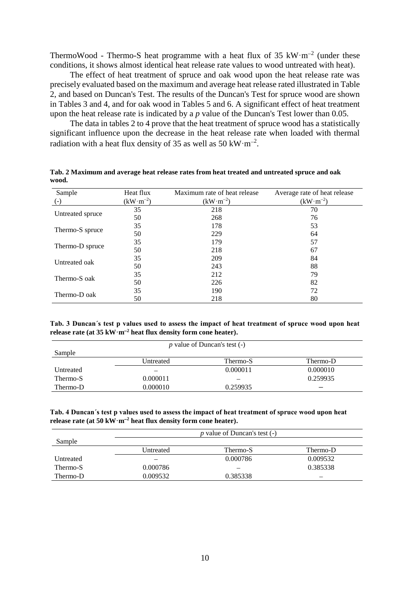ThermoWood - Thermo-S heat programme with a heat flux of 35  $\text{kW} \cdot \text{m}^{-2}$  (under these conditions, it shows almost identical heat release rate values to wood untreated with heat).

The effect of heat treatment of spruce and oak wood upon the heat release rate was precisely evaluated based on the maximum and average heat release rated illustrated in Table 2, and based on Duncan's Test. The results of the Duncan's Test for spruce wood are shown in Tables 3 and 4, and for oak wood in Tables 5 and 6. A significant effect of heat treatment upon the heat release rate is indicated by a *p* value of the Duncan's Test lower than 0.05.

The data in tables 2 to 4 prove that the heat treatment of spruce wood has a statistically significant influence upon the decrease in the heat release rate when loaded with thermal radiation with a heat flux density of 35 as well as  $50 \text{ kW} \cdot \text{m}^{-2}$ .

| Sample           | Heat flux  | Maximum rate of heat release | Average rate of heat release |
|------------------|------------|------------------------------|------------------------------|
| $(-)$            | $(kW·m-2)$ | $(kW·m-2)$                   | $(kW·m-2)$                   |
|                  | 35         | 218                          | 70                           |
| Untreated spruce | 50         | 268                          | 76                           |
|                  | 35         | 178                          | 53                           |
| Thermo-S spruce  | 50         | 229                          | 64                           |
| Thermo-D spruce  | 35         | 179                          | 57                           |
|                  | 50         | 218                          | 67                           |
| Untreated oak    | 35         | 209                          | 84                           |
|                  | 50         | 243                          | 88                           |
| Thermo-S oak     | 35         | 212                          | 79                           |
|                  | 50         | 226                          | 82                           |
| Thermo-D oak     | 35         | 190                          | 72                           |
|                  | 50         | 218                          | 80                           |

**Tab. 2 Maximum and average heat release rates from heat treated and untreated spruce and oak wood.**

**Tab. 3 Duncan´s test p values used to assess the impact of heat treatment of spruce wood upon heat release rate (at 35 kW·m<sup>2</sup> heat flux density form cone heater).**

| p value of Duncan's test $(-)$ |           |          |          |  |  |
|--------------------------------|-----------|----------|----------|--|--|
| Sample                         |           |          |          |  |  |
|                                | Untreated | Thermo-S | Thermo-D |  |  |
| Untreated                      |           | 0.000011 | 0.000010 |  |  |
| Thermo-S                       | 0.000011  |          | 0.259935 |  |  |
| Thermo-D                       | 0.000010  | 0.259935 |          |  |  |

#### **Tab. 4 Duncan´s test p values used to assess the impact of heat treatment of spruce wood upon heat release rate (at 50 kW·m<sup>2</sup> heat flux density form cone heater).**

|           | <i>p</i> value of Duncan's test (-) |          |          |  |  |
|-----------|-------------------------------------|----------|----------|--|--|
| Sample    |                                     |          |          |  |  |
|           | Untreated                           | Thermo-S | Thermo-D |  |  |
| Untreated |                                     | 0.000786 | 0.009532 |  |  |
| Thermo-S  | 0.000786                            |          | 0.385338 |  |  |
| Thermo-D  | 0.009532                            | 0.385338 | -        |  |  |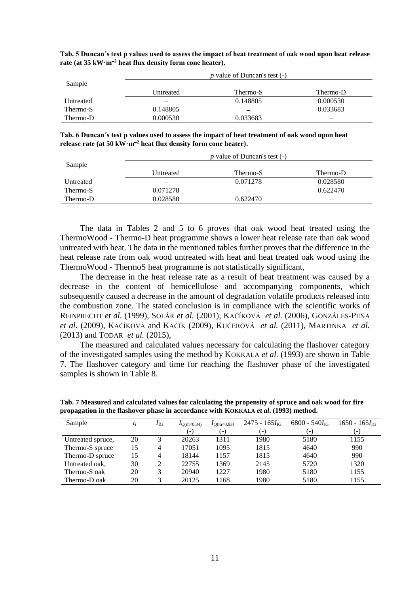|           | <i>p</i> value of Duncan's test (-) |          |          |  |
|-----------|-------------------------------------|----------|----------|--|
| Sample    |                                     |          |          |  |
|           | Untreated                           | Thermo-S | Thermo-D |  |
| Untreated |                                     | 0.148805 | 0.000530 |  |
| Thermo-S  | 0.148805                            |          | 0.033683 |  |
| Thermo-D  | 0.000530                            | 0.033683 |          |  |

**Tab. 5 Duncan´s test p values used to assess the impact of heat treatment of oak wood upon heat release rate (at 35 kW·m<sup>2</sup> heat flux density form cone heater).**

**Tab. 6 Duncan´s test p values used to assess the impact of heat treatment of oak wood upon heat**  release rate (at  $50 \text{ kW} \cdot \text{m}^{-2}$  heat flux density form cone heater).

|           | p value of Duncan's test $(-)$ |          |                          |  |  |
|-----------|--------------------------------|----------|--------------------------|--|--|
| Sample    |                                |          |                          |  |  |
|           | Untreated                      | Thermo-S | Thermo-D                 |  |  |
| Untreated |                                | 0.071278 | 0.028580                 |  |  |
| Thermo-S  | 0.071278                       |          | 0.622470                 |  |  |
| Thermo-D  | 0.028580                       | 0.622470 | $\overline{\phantom{a}}$ |  |  |

The data in Tables 2 and 5 to 6 proves that oak wood heat treated using the ThermoWood - Thermo-D heat programme shows a lower heat release rate than oak wood untreated with heat. The data in the mentioned tables further proves that the difference in the heat release rate from oak wood untreated with heat and heat treated oak wood using the ThermoWood - ThermoS heat programme is not statistically significant,

The decrease in the heat release rate as a result of heat treatment was caused by a decrease in the content of hemicellulose and accompanying components, which subsequently caused a decrease in the amount of degradation volatile products released into the combustion zone. The stated conclusion is in compliance with the scientific works of REINPRECHT *et al.* (1999), SOLÁR *et al.* (2001), KAČÍKOVÁ *et al.* (2006), GONZÁLES-PEÑA *et al.* (2009), KAČÍKOVÁ and KAČÍK (2009), KUČEROVÁ *et al.* (2011), MARTINKA *et al.* (2013) and TODAR *et al.* (2015),

The measured and calculated values necessary for calculating the flashover category of the investigated samples using the method by KOKKALA *et al.* (1993) are shown in Table 7. The flashover category and time for reaching the flashover phase of the investigated samples is shown in Table 8.

| Sample            | $t_{\rm i}$ | 4 IG | $I_{\text{O(m=0.34)}}$ | $I_{\text{O(m=0.93)}}$ | $2475 - 165I_{IG}$ | $6800 - 540I_{IG}$ | $1650 - 165I_{IG}$       |
|-------------------|-------------|------|------------------------|------------------------|--------------------|--------------------|--------------------------|
|                   |             |      | $(-)$                  | ( – )                  | ( – )              | ( – )              | $\overline{\phantom{a}}$ |
| Untreated spruce, | 20          |      | 20263                  | 1311                   | 1980               | 5180               | 1155                     |
| Thermo-S spruce   | 15          | 4    | 17051                  | 1095                   | 1815               | 4640               | 990                      |
| Thermo-D spruce   | 15          | 4    | 18144                  | 1157                   | 1815               | 4640               | 990                      |
| Untreated oak,    | 30          |      | 22755                  | 1369                   | 2145               | 5720               | 1320                     |
| Thermo-S oak      | 20          |      | 20940                  | 1227                   | 1980               | 5180               | 1155                     |
| Thermo-D oak      | 20          |      | 20125                  | 1168                   | 1980               | 5180               | 1155                     |

**Tab. 7 Measured and calculated values for calculating the propensity of spruce and oak wood for fire propagation in the flashover phase in accordance with KOKKALA** *et al***. (1993) method.**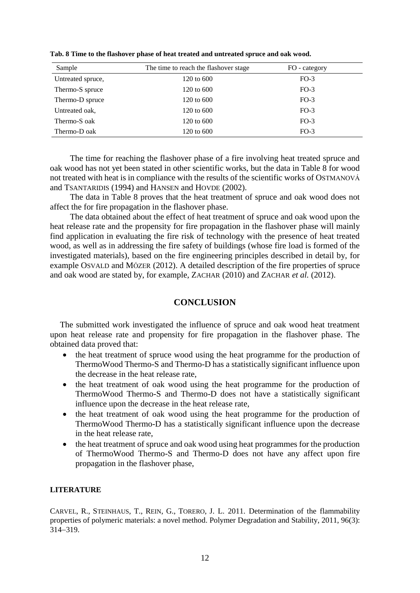| Sample            | The time to reach the flashover stage | FO - category |  |
|-------------------|---------------------------------------|---------------|--|
| Untreated spruce, | 120 to 600                            | $FO-3$        |  |
| Thermo-S spruce   | 120 to 600                            | $FO-3$        |  |
| Thermo-D spruce   | 120 to 600                            | $FO-3$        |  |
| Untreated oak,    | 120 to 600                            | $FO-3$        |  |
| Thermo-S oak      | 120 to 600                            | $FO-3$        |  |
| Thermo-D oak      | 120 to 600                            | $FO-3$        |  |

**Tab. 8 Time to the flashover phase of heat treated and untreated spruce and oak wood.**

The time for reaching the flashover phase of a fire involving heat treated spruce and oak wood has not yet been stated in other scientific works, but the data in Table 8 for wood not treated with heat is in compliance with the results of the scientific works of OSTMANOVÁ and TSANTARIDIS (1994) and HANSEN and HOVDE (2002).

The data in Table 8 proves that the heat treatment of spruce and oak wood does not affect the for fire propagation in the flashover phase.

The data obtained about the effect of heat treatment of spruce and oak wood upon the heat release rate and the propensity for fire propagation in the flashover phase will mainly find application in evaluating the fire risk of technology with the presence of heat treated wood, as well as in addressing the fire safety of buildings (whose fire load is formed of the investigated materials), based on the fire engineering principles described in detail by, for example OSVALD and MÓZER (2012). A detailed description of the fire properties of spruce and oak wood are stated by, for example, ZACHAR (2010) and ZACHAR *et al.* (2012).

# **CONCLUSION**

The submitted work investigated the influence of spruce and oak wood heat treatment upon heat release rate and propensity for fire propagation in the flashover phase. The obtained data proved that:

- the heat treatment of spruce wood using the heat programme for the production of ThermoWood Thermo-S and Thermo-D has a statistically significant influence upon the decrease in the heat release rate,
- the heat treatment of oak wood using the heat programme for the production of ThermoWood Thermo-S and Thermo-D does not have a statistically significant influence upon the decrease in the heat release rate,
- the heat treatment of oak wood using the heat programme for the production of ThermoWood Thermo-D has a statistically significant influence upon the decrease in the heat release rate,
- the heat treatment of spruce and oak wood using heat programmes for the production of ThermoWood Thermo-S and Thermo-D does not have any affect upon fire propagation in the flashover phase,

## **LITERATURE**

CARVEL, R., STEINHAUS, T., REIN, G., TORERO, J. L. 2011. Determination of the flammability properties of polymeric materials: a novel method. Polymer Degradation and Stability, 2011, 96(3): 314319.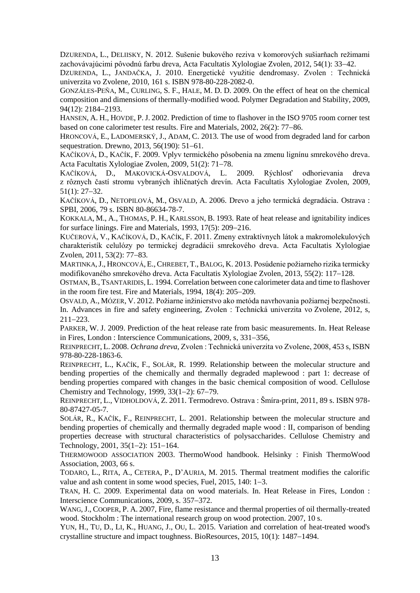DZURENDA, L., DELIISKY, N. 2012. Sušenie bukového reziva v komorových sušiarňach režimami zachovávajúcimi pôvodnú farbu dreva, Acta Facultatis Xylologiae Zvolen, 2012, 54(1): 33–42.

DZURENDA, L., JANDAČKA, J. 2010. Energetické využitie dendromasy. Zvolen : Technická univerzita vo Zvolene, 2010, 161 s. ISBN 978-80-228-2082-0.

GONZÁLES-PEÑA, M., CURLING, S. F., HALE, M. D. D. 2009. On the effect of heat on the chemical composition and dimensions of thermally-modified wood. Polymer Degradation and Stability, 2009, 94(12): 2184-2193.

HANSEN, A. H., HOVDE, P.J. 2002. Prediction of time to flashover in the ISO 9705 room corner test based on cone calorimeter test results. Fire and Materials,  $2002$ ,  $26(2)$ :  $77-86$ .

HRONCOVÁ, E., LADOMERSKÝ, J., ADAM, C. 2013. The use of wood from degraded land for carbon sequestration. Drewno,  $2013, 56(190)$ :  $51-61$ .

KAČÍKOVÁ, D., KAČÍK, F. 2009. Vplyv termického pôsobenia na zmenu lignínu smrekového dreva. Acta Facultatis Xylologiae Zvolen, 2009, 51(2): 71–78.

KAČÍKOVÁ, D., MAKOVICKÁ-OSVALDOVÁ, L. 2009. Rýchlosť odhorievania dreva z rôznych častí stromu vybraných ihličnatých drevín. Acta Facultatis Xylologiae Zvolen, 2009,  $51(1): 27-32.$ 

KAČÍKOVÁ, D., NETOPILOVÁ, M., OSVALD, A. 2006. Drevo a jeho termická degradácia. Ostrava : SPBI, 2006, 79 s. ISBN 80-86634-78-7.

KOKKALA, M., A., THOMAS, P. H., KARLSSON, B. 1993. Rate of heat release and ignitability indices for surface linings. Fire and Materials,  $1993$ ,  $17(5)$ :  $209-216$ .

KUČEROVÁ, V., KAČÍKOVÁ, D., KAČÍK, F. 2011. Zmeny extraktívnych látok a makromolekulových charakteristík celulózy po termickej degradácii smrekového dreva. Acta Facultatis Xylologiae Zvolen, 2011, 53(2): 77–83.

MARTINKA,J., HRONCOVÁ, E.,CHREBET, T.,BALOG, K. 2013. Posúdenie požiarneho rizika termicky modifikovaného smrekového dreva. Acta Facultatis Xylologiae Zvolen, 2013, 55(2): 117–128.

OSTMAN,B.,TSANTARIDIS, L. 1994. Correlation between cone calorimeter data and time to flashover in the room fire test. Fire and Materials,  $1994, 18(4)$ :  $205-209$ .

OSVALD, A., MÓZER, V. 2012. Požiarne inžinierstvo ako metóda navrhovania požiarnej bezpečnosti. In. Advances in fire and safety engineering, Zvolen : Technická univerzita vo Zvolene, 2012, s,  $211 - 223$ .

PARKER, W. J. 2009. Prediction of the heat release rate from basic measurements. In. Heat Release in Fires, London : Interscience Communications, 2009, s, 331-356,

REINPRECHT, L. 2008. *Ochrana dreva*, Zvolen : Technická univerzita vo Zvolene, 2008, 453 s, ISBN 978-80-228-1863-6.

REINPRECHT, L., KAČÍK, F., SOLÁR, R. 1999. Relationship between the molecular structure and bending properties of the chemically and thermally degraded maplewood : part 1: decrease of bending properties compared with changes in the basic chemical composition of wood. Cellulose Chemistry and Technology, 1999,  $33(1-2)$ : 67-79.

REINPRECHT, L., VIDHOLDOVÁ, Z. 2011. Termodrevo. Ostrava : Šmíra-print, 2011, 89 s. ISBN 978- 80-87427-05-7.

SOLÁR, R., KAČÍK, F., REINPRECHT, L. 2001. Relationship between the molecular structure and bending properties of chemically and thermally degraded maple wood : II, comparison of bending properties decrease with structural characteristics of polysaccharides. Cellulose Chemistry and Technology,  $2001$ ,  $35(1-2)$ :  $151-164$ .

THERMOWOOD ASSOCIATION 2003. ThermoWood handbook. Helsinky : Finish ThermoWood Association, 2003, 66 s.

TODARO, L., RITA, A., CETERA, P., D'AURIA, M. 2015. Thermal treatment modifies the calorific value and ash content in some wood species, Fuel,  $2015$ ,  $140$ :  $1-3$ .

TRAN, H. C. 2009. Experimental data on wood materials. In. Heat Release in Fires, London : Interscience Communications, 2009, s. 357–372.

WANG, J., COOPER, P. A. 2007. Fire, flame resistance and thermal properties of oil thermally-treated wood. Stockholm : The international research group on wood protection. 2007, 10 s.

YUN, H., TU, D., LI, K., HUANG, J., OU, L. 2015. Variation and correlation of heat-treated wood's crystalline structure and impact toughness. BioResources,  $2015$ ,  $10(1)$ :  $1487-1494$ .